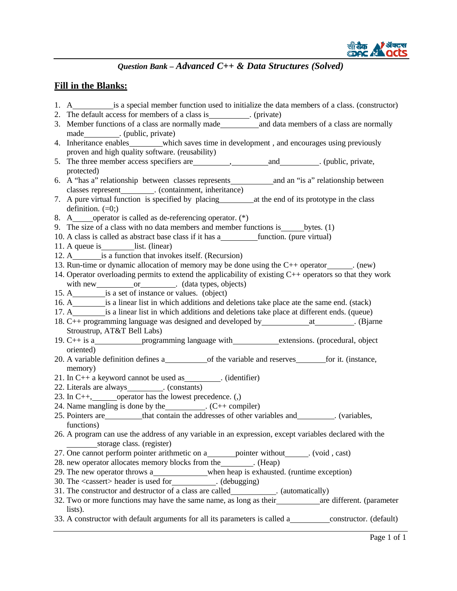

### **Fill in the Blanks:**

1. A is a special member function used to initialize the data members of a class. (constructor) 2. The default access for members of a class is \_\_\_\_\_\_\_\_. (private) 3. Member functions of a class are normally made and data members of a class are normally made . (public, private) 4. Inheritance enables which saves time in development, and encourages using previously proven and high quality software. (reusability) 5. The three member access specifiers are  $\qquad \qquad$ , and . (public, private, protected) 6. A "has a" relationship between classes represents and an "is a" relationship between classes represent . (containment, inheritance) 7. A pure virtual function is specified by placing at the end of its prototype in the class definition.  $(=0)$ ; 8. A operator is called as de-referencing operator. (\*) 9. The size of a class with no data members and member functions is bytes.  $(1)$ 10. A class is called as abstract base class if it has a function. (pure virtual) 11. A queue is list. (linear) 12. A\_\_\_\_\_\_\_\_\_\_ is a function that invokes itself. (Recursion) 13. Run-time or dynamic allocation of memory may be done using the  $C_{++}$  operator . (new) 14. Operator overloading permits to extend the applicability of existing C++ operators so that they work with new or . (data types, objects) 15. A is a set of instance or values. (object) 16. A is a linear list in which additions and deletions take place ate the same end. (stack) 17. A is a linear list in which additions and deletions take place at different ends. (queue) 18. C++ programming language was designed and developed by \_\_\_\_\_\_\_\_\_\_\_\_\_\_\_\_\_\_. (Bjarne Stroustrup, AT&T Bell Labs) 19. C++ is a programming language with extensions. (procedural, object oriented) 20. A variable definition defines a of the variable and reserves for it. (instance, memory) 21. In  $C_{++}$  a keyword cannot be used as . (identifier) 22. Literals are always . (constants) 23. In C++, operator has the lowest precedence. (,) 24. Name mangling is done by the  $(C++$  compiler) 25. Pointers are that contain the addresses of other variables and . (variables, functions) 26. A program can use the address of any variable in an expression, except variables declared with the storage class. (register) 27. One cannot perform pointer arithmetic on a\_\_\_\_\_\_\_ pointer without\_\_\_\_\_\_. (void, cast) 28. new operator allocates memory blocks from the \_\_\_\_\_\_\_. (Heap) 29. The new operator throws a\_\_\_\_\_\_\_\_\_\_\_\_when heap is exhausted. (runtime exception) 30. The <cassert> header is used for . (debugging) 31. The constructor and destructor of a class are called \_\_\_\_\_\_\_\_\_\_\_. (automatically) 32. Two or more functions may have the same name, as long as their \_\_\_\_\_\_\_\_\_\_\_ are different. (parameter lists). 33. A constructor with default arguments for all its parameters is called a constructor. (default)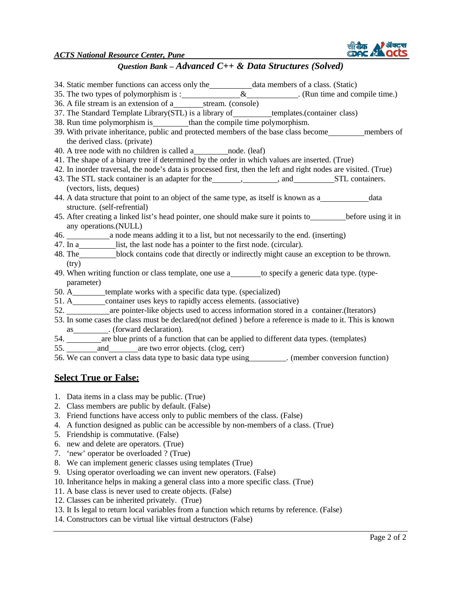*ACTS National Resource Center, Pune*



- 34. Static member functions can access only the data members of a class. (Static) 35. The two types of polymorphism is : \_\_\_\_\_\_\_\_\_\_\_\_\_\_&\_\_\_\_\_\_\_\_\_\_\_\_. (Run time and compile time.)  $36. A file stream is an extension of a *stream*. (console)$ 37. The Standard Template Library(STL) is a library of \_\_\_\_\_\_\_\_\_\_templates.(container class) 38. Run time polymorphism is than the compile time polymorphism. 39. With private inheritance, public and protected members of the base class become members of the derived class. (private) 40. A tree node with no children is called a node. (leaf) 41. The shape of a binary tree if determined by the order in which values are inserted. (True) 42. In inorder traversal, the node's data is processed first, then the left and right nodes are visited. (True) 43. The STL stack container is an adapter for the state and state and STL containers. (vectors, lists, deques) 44. A data structure that point to an object of the same type, as itself is known as a data structure. (self-refrential) 45. After creating a linked list's head pointer, one should make sure it points to before using it in any operations.(NULL) 46. a node means adding it to a list, but not necessarily to the end. (inserting) 47. In a list, the last node has a pointer to the first node. (circular). 48. The block contains code that directly or indirectly might cause an exception to be thrown. (try) 49. When writing function or class template, one use a to specify a generic data type. (typeparameter) 50. A\_\_\_\_\_\_\_\_\_\_ template works with a specific data type. (specialized) 51. A\_\_\_\_\_\_\_\_\_ container uses keys to rapidly access elements. (associative) 52. are pointer-like objects used to access information stored in a container.(Iterators) 53. In some cases the class must be declared(not defined ) before a reference is made to it. This is known as \_\_\_\_\_\_\_\_\_\_. (forward declaration). 54. \_\_\_\_\_\_\_ are blue prints of a function that can be applied to different data types. (templates) 55. and are two error objects. (clog, cerr) 56. We can convert a class data type to basic data type using . (member conversion function) **Select True or False:**
- 1. Data items in a class may be public. (True)
- 2. Class members are public by default. (False)
- 3. Friend functions have access only to public members of the class. (False)
- 4. A function designed as public can be accessible by non-members of a class. (True)
- 5. Friendship is commutative. (False)
- 6. new and delete are operators. (True)
- 7. 'new' operator be overloaded ? (True)
- 8. We can implement generic classes using templates (True)
- 9. Using operator overloading we can invent new operators. (False)
- 10. Inheritance helps in making a general class into a more specific class. (True)
- 11. A base class is never used to create objects. (False)
- 12. Classes can be inherited privately. (True)
- 13. It Is legal to return local variables from a function which returns by reference. (False)
- 14. Constructors can be virtual like virtual destructors (False)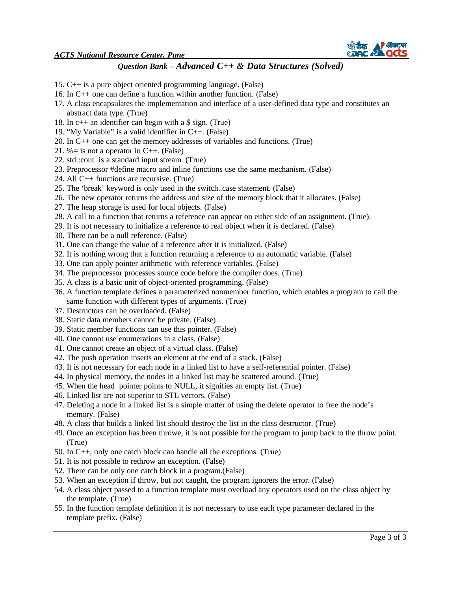

- 15. C++ is a pure object oriented programming language. (False)
- 16. In C++ one can define a function within another function. (False)
- 17. A class encapsulates the implementation and interface of a user-defined data type and constitutes an abstract data type. (True)
- 18. In c++ an identifier can begin with a \$ sign. (True)
- 19. "My Variable" is a valid identifier in C++. (False)
- 20. In C++ one can get the memory addresses of variables and functions. (True)
- 21. %= is not a operator in C++. (False)
- 22. std::cout is a standard input stream. (True)
- 23. Preprocessor #define macro and inline functions use the same mechanism. (False)
- 24. All C++ functions are recursive. (True)
- 25. The 'break' keyword is only used in the switch..case statement. (False)
- 26. The new operator returns the address and size of the memory block that it allocates. (False)
- 27. The heap storage is used for local objects. (False)
- 28. A call to a function that returns a reference can appear on either side of an assignment. (True).
- 29. It is not necessary to initialize a reference to real object when it is declared. (False)
- 30. There can be a null reference. (False)
- 31. One can change the value of a reference after it is initialized. (False)
- 32. It is nothing wrong that a function returning a reference to an automatic variable. (False)
- 33. One can apply pointer arithmetic with reference variables. (False)
- 34. The preprocessor processes source code before the compiler does. (True)
- 35. A class is a basic unit of object-oriented programming. (False)
- 36. A function template defines a parameterized nonmember function, which enables a program to call the same function with different types of arguments. (True)
- 37. Destructors can be overloaded. (False)
- 38. Static data members cannot be private. (False)
- 39. Static member functions can use this pointer. (False)
- 40. One cannot use enumerations in a class. (False)
- 41. One cannot create an object of a virtual class. (False)
- 42. The push operation inserts an element at the end of a stack. (False)
- 43. It is not necessary for each node in a linked list to have a self-referential pointer. (False)
- 44. In physical memory, the nodes in a linked list may be scattered around. (True)
- 45. When the head pointer points to NULL, it signifies an empty list. (True)
- 46. Linked list are not superior to STL vectors. (False)
- 47. Deleting a node in a linked list is a simple matter of using the delete operator to free the node's memory. (False)
- 48. A class that builds a linked list should destroy the list in the class destructor. (True)
- 49. Once an exception has been throwe, it is not possible for the program to jump back to the throw point. (True)
- 50. In C++, only one catch block can handle all the exceptions. (True)
- 51. It is not possible to rethrow an exception. (False)
- 52. There can be only one catch block in a program.(False)
- 53. When an exception if throw, but not caught, the program ignorers the error. (False)
- 54. A class object passed to a function template must overload any operators used on the class object by the template. (True)
- 55. In the function template definition it is not necessary to use each type parameter declared in the template prefix. (False)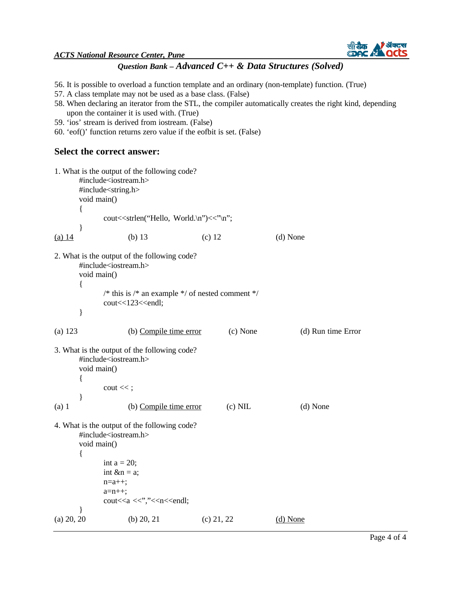

- 56. It is possible to overload a function template and an ordinary (non-template) function. (True)
- 57. A class template may not be used as a base class. (False)
- 58. When declaring an iterator from the STL, the compiler automatically creates the right kind, depending upon the container it is used with. (True)
- 59. 'ios' stream is derived from iostream. (False)
- 60. 'eof()' function returns zero value if the eofbit is set. (False)

### **Select the correct answer:**

|            |                       | #include <iostream.h></iostream.h>                                                                                                                                                                                                                                                | 1. What is the output of the following code?                                                   |              |           |                    |
|------------|-----------------------|-----------------------------------------------------------------------------------------------------------------------------------------------------------------------------------------------------------------------------------------------------------------------------------|------------------------------------------------------------------------------------------------|--------------|-----------|--------------------|
|            |                       | #include <string.h></string.h>                                                                                                                                                                                                                                                    |                                                                                                |              |           |                    |
|            | void main()           |                                                                                                                                                                                                                                                                                   |                                                                                                |              |           |                    |
|            | ł                     |                                                                                                                                                                                                                                                                                   |                                                                                                |              |           |                    |
|            |                       |                                                                                                                                                                                                                                                                                   | cout< <strlen("hello, th="" world.\n")<<"\n";<=""><th></th><th></th><th></th></strlen("hello,> |              |           |                    |
|            | }                     |                                                                                                                                                                                                                                                                                   |                                                                                                |              |           |                    |
| (a) $14$   |                       | $(b)$ 13                                                                                                                                                                                                                                                                          |                                                                                                | $(c)$ 12     |           | (d) None           |
|            | void main()           | #include <iostream.h></iostream.h>                                                                                                                                                                                                                                                | 2. What is the output of the following code?                                                   |              |           |                    |
|            | $\{$<br>}             | cout<<123< <endl;< td=""><td>/* this is /* an example */ of nested comment */</td><td></td><td></td><td></td></endl;<>                                                                                                                                                            | /* this is /* an example */ of nested comment */                                               |              |           |                    |
| (a) 123    |                       |                                                                                                                                                                                                                                                                                   | (b) Compile time error                                                                         |              | (c) None  | (d) Run time Error |
|            | void main()<br>{<br>} | #include <iostream.h><br/><math>\cot \ll</math>;</iostream.h>                                                                                                                                                                                                                     | 3. What is the output of the following code?                                                   |              |           |                    |
| $(a)$ 1    |                       |                                                                                                                                                                                                                                                                                   | (b) Compile time error                                                                         |              | $(c)$ NIL | (d) None           |
|            | void main()<br>₹      | #include <iostream.h><br/>int <math>a = 20</math>;<br/>int <math>\&amp; n = a;</math><br/><math>n=a++;</math><br/><math>a=n++;</math><br/>cout&lt;<a <<'',"<<n<<endl;<="" td=""><td>4. What is the output of the following code?</td><td></td><td></td><td></td></a></iostream.h> | 4. What is the output of the following code?                                                   |              |           |                    |
| (a) 20, 20 |                       | (b) $20, 21$                                                                                                                                                                                                                                                                      |                                                                                                | $(c)$ 21, 22 |           | $(d)$ None         |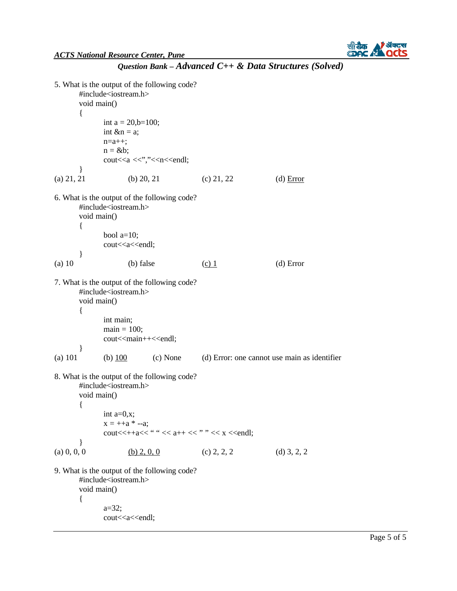

```
5. What is the output of the following code? 
      #include<iostream.h> 
      void main() 
      { 
             int a = 20,b=100;
             int \&n = a;
             n=a++;n = \&b;cout<<a <<'',"<<n<<endl;
       } 
(a) 21, 21 (b) 20, 21 (c) 21, 22 (d) Error
6. What is the output of the following code? 
      #include<iostream.h> 
      void main() 
      { 
             bool a=10;
             cout<<a<<endl;
      } 
(a) 10 (b) false (c) 1 (d) Error
7. What is the output of the following code? 
      #include<iostream.h> 
      void main() 
      { 
             int main; 
             main = 100:
             cout<<main++<<endl;
      } 
(a) 101 (b) 100 (c) None (d) Error: one cannot use main as identifier
8. What is the output of the following code? 
      #include<iostream.h> 
      void main() 
      { 
             int a=0,x; 
             x = ++a * --a;cout << + +a<< " " << a++ << " << x << endl;
      } 
(a) 0, 0, 0 (b) 2, 0, 0 (c) 2, 2, 2 (d) 3, 2, 2
9. What is the output of the following code? 
      #include<iostream.h> 
      void main() 
      { 
             a=32; 
             cout<<a<<endl;
```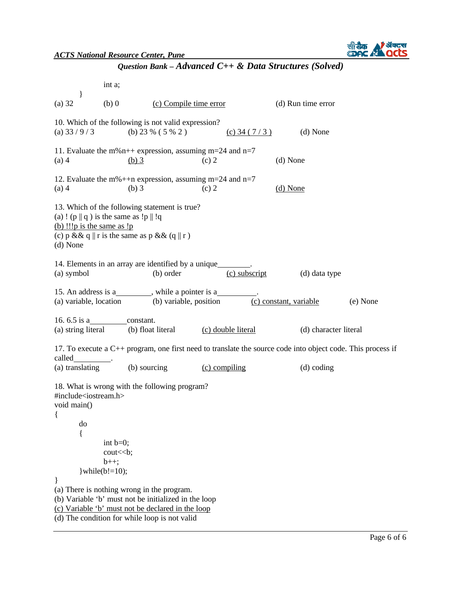

int a; } (a) 32 (b) 0 (c) Compile time error (d) Run time error 10. Which of the following is not valid expression? (a)  $33 / 9 / 3$  (b)  $23 \% (5 \% 2)$  (c)  $34 (7 / 3)$  (d) None 11. Evaluate the m%n++ expression, assuming m=24 and n=7 (a) 4 (b) 3 (c) 2 (d) None 12. Evaluate the m%++n expression, assuming m=24 and n=7 (a) 4 (b) 3 (c) 2 (d) None 13. Which of the following statement is true? (a) ! (p  $|| q$ ) is the same as !p  $||$  !q (b) !!!p is the same as !p (c) p & & q || r is the same as p & & (q || r) (d) None 14. Elements in an array are identified by a unique . (a) symbol (b) order (c) subscript (d) data type 15. An address is a\_\_\_\_\_\_\_\_, while a pointer is a\_ (a) variable, location (b) variable, position (c) constant, variable (e) None 16. 6.5 is a constant. (a) string literal (b) float literal (c) double literal (d) character literal 17. To execute a C++ program, one first need to translate the source code into object code. This process if called (a) translating (b) sourcing (c) compiling (d) coding 18. What is wrong with the following program? #include<iostream.h> void main() { do { int  $b=0$ ; cout << b;  $b++$ :  $\text{while}(b!=10);$ } (a) There is nothing wrong in the program. (b) Variable 'b' must not be initialized in the loop (c) Variable 'b' must not be declared in the loop (d) The condition for while loop is not valid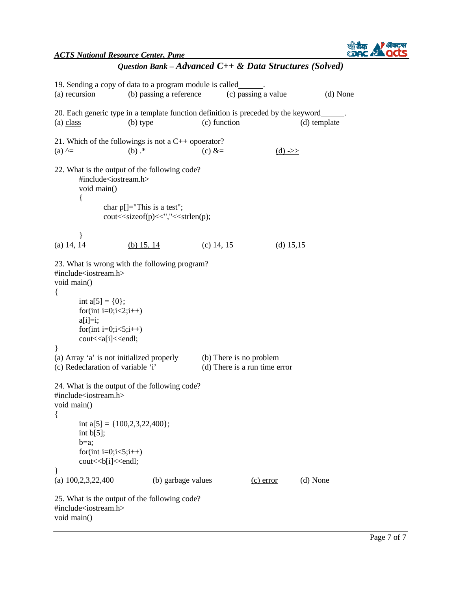

| Question Bank - Advanced $C++$ & Data Structures (Solved) |  |  |  |  |
|-----------------------------------------------------------|--|--|--|--|
|-----------------------------------------------------------|--|--|--|--|

| (a) recursion                                                                                                                                                             | 19. Sending a copy of data to a program module is called<br>(b) passing a reference                                                  |              | (c) passing a value | (d) None |  |
|---------------------------------------------------------------------------------------------------------------------------------------------------------------------------|--------------------------------------------------------------------------------------------------------------------------------------|--------------|---------------------|----------|--|
| 20. Each generic type in a template function definition is preceded by the keyword<br>(c) function<br>(b) type<br>(d) template<br>(a) class                               |                                                                                                                                      |              |                     |          |  |
| (a) $\wedge =$                                                                                                                                                            | 21. Which of the followings is not a $C_{++}$ opoerator?<br>$(b)$ .*                                                                 | (c) $&=$     | $(d)$ ->>           |          |  |
| void main()<br>ł                                                                                                                                                          | 22. What is the output of the following code?<br>#include <iostream.h></iostream.h>                                                  |              |                     |          |  |
|                                                                                                                                                                           | char $p[] = "This is a test";$<br>cout< <sizeof(p)<<","<<strlen(p);< td=""><td></td><td></td><td></td></sizeof(p)<<","<<strlen(p);<> |              |                     |          |  |
| $(a)$ 14, 14                                                                                                                                                              | (b) 15, 14                                                                                                                           | $(c)$ 14, 15 | (d) $15,15$         |          |  |
| 23. What is wrong with the following program?<br>#include <iostream.h><br/>void main()</iostream.h>                                                                       |                                                                                                                                      |              |                     |          |  |
| $\{$<br>int $a[5] = \{0\};$<br>for(int i=0;i<2;i++)<br>$a[i]=i;$<br>for(int i=0;i<5;i++)<br>cout< <a[i]<<endl;< td=""><td></td><td></td><td></td><td></td></a[i]<<endl;<> |                                                                                                                                      |              |                     |          |  |
| ł<br>(a) Array 'a' is not initialized properly<br>(b) There is no problem<br>(c) Redeclaration of variable 'i'<br>(d) There is a run time error                           |                                                                                                                                      |              |                     |          |  |
| #include <iostream.h><br/>void main()</iostream.h>                                                                                                                        | 24. What is the output of the following code?                                                                                        |              |                     |          |  |
| int $b[5]$ ;<br>$b=a;$<br>for(int i=0;i<5;i++)<br>cout<<br>b[i]< <endl;< td=""><td>int a[5] = {<math>100,2,3,22,400</math>};</td><td></td><td></td><td></td></endl;<>     | int a[5] = { $100,2,3,22,400$ };                                                                                                     |              |                     |          |  |
| $\}$<br>(a) $100,2,3,22,400$                                                                                                                                              | (b) garbage values                                                                                                                   |              | $(c)$ error         | (d) None |  |
| #include <iostream.h><br/>void main()</iostream.h>                                                                                                                        | 25. What is the output of the following code?                                                                                        |              |                     |          |  |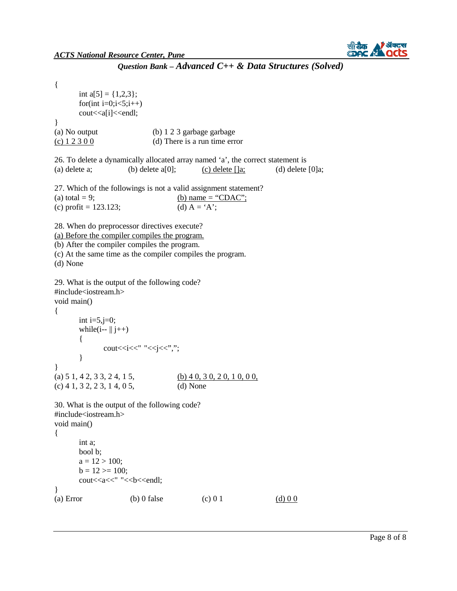

```
{ 
       int a[5] = \{1,2,3\};for(int i=0;i<5;i++)
       cout << a [i] << endl;
} 
(a) No output (b) 1 2 3 garbage garbage 
(c) 1\ 2\ 3\ 0\ 0 (d) There is a run time error
26. To delete a dynamically allocated array named 'a', the correct statement is 
(a) delete a; (b) delete a[0]; (c) delete []a; (d) delete [0]a;
27. Which of the followings is not a valid assignment statement? 
(a) total = 9; (b) name = "CDAC";
(c) profit = 123.123; (d) A = 'A';28. When do preprocessor directives execute? 
(a) Before the compiler compiles the program.
(b) After the compiler compiles the program. 
(c) At the same time as the compiler compiles the program. 
(d) None 
29. What is the output of the following code? 
#include<iostream.h> 
void main() 
{ 
       int i=5, j=0;
       while(i--\paralleli++\parallel)
       { 
              cout<<<i<<" "<<i<<'',";
       } 
} 
(a) 5 \, 1, 4 \, 2, 3 \, 3, 2 \, 4, 1 \, 5, (b) 4 \, 0, 3 \, 0, 2 \, 0, 1 \, 0, 0 \, 0,(c) 4 1, 3 2, 2 3, 1 4, 0 5, (d) None 
30. What is the output of the following code? 
#include<iostream.h> 
void main() 
{ 
       int a; 
       bool b; 
       a = 12 > 100;
       b = 12 \ge 100;
       cout<<a<<<" "<<br/>sb<<endl;
} 
(a) Error (b) 0 false (c) 0 1 (d) 0 0
```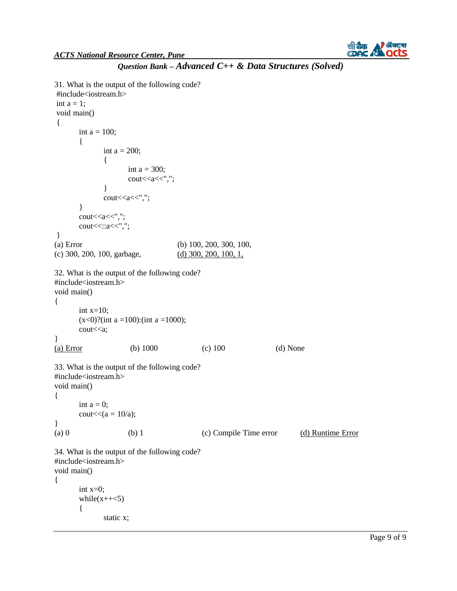

```
Question Bank – Advanced C++ & Data Structures (Solved)
```

```
31. What is the output of the following code? 
#include<iostream.h> 
int a = 1;
void main() 
{ 
      int a = 100;
       { 
             int a = 200;
             { 
                    int a = 300;
                    cout<<a<<","; 
             } 
             cout<<a<<","; 
       } 
      cout<<a<<","; 
      cout<<::a<<",";
} 
(a) Error (b) 100, 200, 300, 100, 
(c) 300, 200, 100, garbage, (d) 300, 200, 100, 1,
32. What is the output of the following code? 
#include<iostream.h> 
void main() 
{ 
      int x=10;
      (x<0)?(int a =100):(int a =1000);
      cout << a:
} 
(a) Error (b) 1000 (c) 100 (d) None 
33. What is the output of the following code? 
#include<iostream.h> 
void main() 
{ 
      int a = 0;
      cout<<(a = 10/a);
} 
(a) 0 (b) 1 (c) Compile Time error (d) Runtime Error
34. What is the output of the following code? 
#include<iostream.h> 
void main() 
{ 
      int x=0;
       while(x++<5){ 
             static x;
```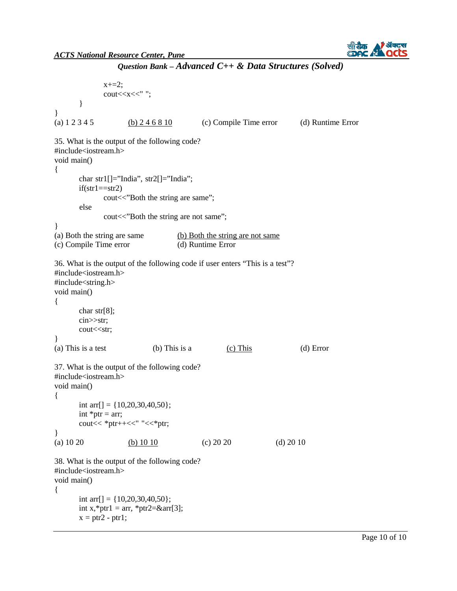

```
Question Bank – Advanced C++ & Data Structures (Solved)
```

```
x+=2;
              cout<<x<<" "; 
       } 
} 
(a) 1\ 2\ 3\ 4\ 5 (b) 2\ 4\ 6\ 8\ 10 (c) Compile Time error (d) Runtime Error
35. What is the output of the following code? 
#include<iostream.h> 
void main() 
{ 
       char str1[]="India", str2[]="India";
       if(str1 = str2)cout << "Both the string are same";
       else 
} 
              cout<<"Both the string are not same";
(a) Both the string are same (b) Both the string are not same
(c) Compile Time error (d) Runtime Error 
36. What is the output of the following code if user enters "This is a test"? 
#include<iostream.h> 
#include<string.h> 
void main() 
{ 
       char str[8]; 
       cin>>str; 
       cout<<str;
} 
(a) This is a test (b) This is a (c) This (d) Error 
37. What is the output of the following code? 
#include<iostream.h> 
void main() 
{ 
       int arr[] = {10,20,30,40,50};
       int *ptr = arr;cout << * ptr++<<" "<<* ptr;
} 
(a) 10 20 (b) 10 10 (c) 20 20 (d) 20 10
38. What is the output of the following code? 
#include<iostream.h> 
void main() 
{ 
       int arr[] = {10,20,30,40,50};
       int x,*ptr1 = arr, *ptr2=&arr[3];x = ptr2 - ptr1;
```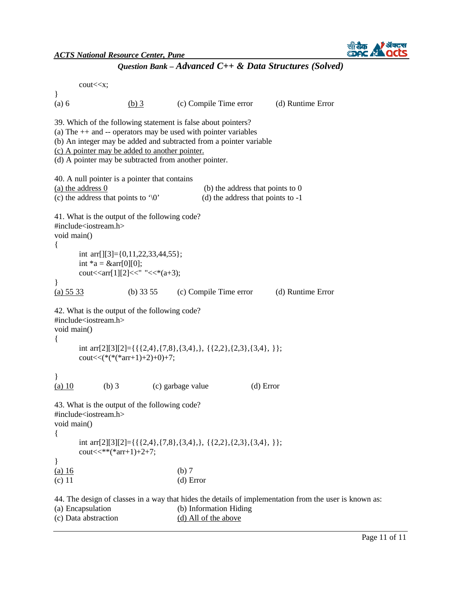*ACTS National Resource Center, Pune*

```
cout<<x; 
} 
(a) 6 (b) 3 (c) Compile Time error (d) Runtime Error 
39. Which of the following statement is false about pointers? 
(a) The ++ and -- operators may be used with pointer variables
(b) An integer may be added and subtracted from a pointer variable 
(c) A pointer may be added to another pointer.
(d) A pointer may be subtracted from another pointer. 
40. A null pointer is a pointer that contains 
(a) the address \overline{0} (b) the address that points to 0
(c) the address that points to '\sqrt{0'} (d) the address that points to -1
41. What is the output of the following code? 
#include<iostream.h> 
void main() 
{ 
       int arr[][3]={0,11,22,33,44,55}; 
       int *a = & \text{a} = \frac{10}{10};
       cout << arr[1][2] << " <<" (a+3);
} 
(a) 55 33 (b) 33 55 (c) Compile Time error (d) Runtime Error 
42. What is the output of the following code? 
#include<iostream.h> 
void main() 
{ 
       int arr[2][3][2]={{{2,4},{7,8},{3,4},}, {{2,2},{2,3},{3,4}, }}; 
       \text{cout} \ll (\text{*}(\text{*}(\text{*} \text{arr}+1)+2)+0)+7;} 
(a) 10 (b) 3 (c) garbage value (d) Error
43. What is the output of the following code? 
#include<iostream.h> 
void main() 
{ 
       int arr[2][3][2]={{{2,4},{7,8},{3,4},}, {{2,2},{2,3},{3,4}, }}; 
       \text{cout}<<^*(\text{arr}+1)+2+7;} 
(a) 16 (b) 7\alpha (c) 11 (d) Error
44. The design of classes in a way that hides the details of implementation from the user is known as: 
(a) Encapsulation (b) Information Hiding 
(c) Data abstraction (d) All of the above
```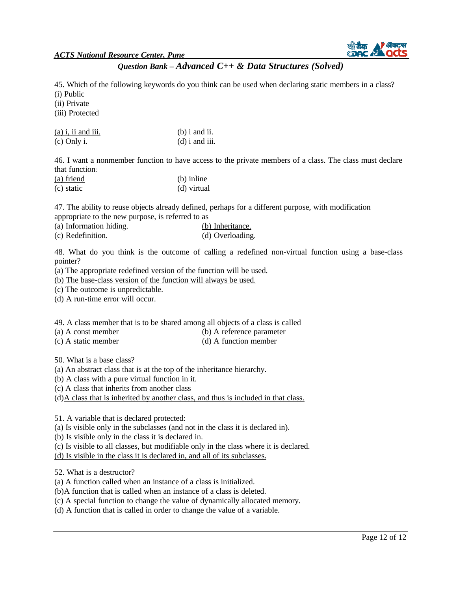

45. Which of the following keywords do you think can be used when declaring static members in a class? (i) Public

(ii) Private

(iii) Protected

 $(a)$  i, ii and iii. (b) i and ii.  $\alpha$  (c) Only i. (d) i and iii.

46. I want a nonmember function to have access to the private members of a class. The class must declare that function:

| (a) friend | (b) inline  |
|------------|-------------|
| (c) static | (d) virtual |

47. The ability to reuse objects already defined, perhaps for a different purpose, with modification appropriate to the new purpose, is referred to as

| ______<br>(a) Information hiding. | (b) Inheritance. |
|-----------------------------------|------------------|
| (c) Redefinition.                 | (d) Overloading. |

48. What do you think is the outcome of calling a redefined non-virtual function using a base-class pointer?

(a) The appropriate redefined version of the function will be used.

(b) The base-class version of the function will always be used.

(c) The outcome is unpredictable.

(d) A run-time error will occur.

#### 49. A class member that is to be shared among all objects of a class is called

(a) A const member (b) A reference parameter

(c) A static member (d) A function member

50. What is a base class?

(a) An abstract class that is at the top of the inheritance hierarchy.

(b) A class with a pure virtual function in it.

(c) A class that inherits from another class

(d)A class that is inherited by another class, and thus is included in that class.

51. A variable that is declared protected:

(a) Is visible only in the subclasses (and not in the class it is declared in).

(b) Is visible only in the class it is declared in.

(c) Is visible to all classes, but modifiable only in the class where it is declared.

(d) Is visible in the class it is declared in, and all of its subclasses.

52. What is a destructor?

(a) A function called when an instance of a class is initialized.

(b)A function that is called when an instance of a class is deleted.

(c) A special function to change the value of dynamically allocated memory.

(d) A function that is called in order to change the value of a variable.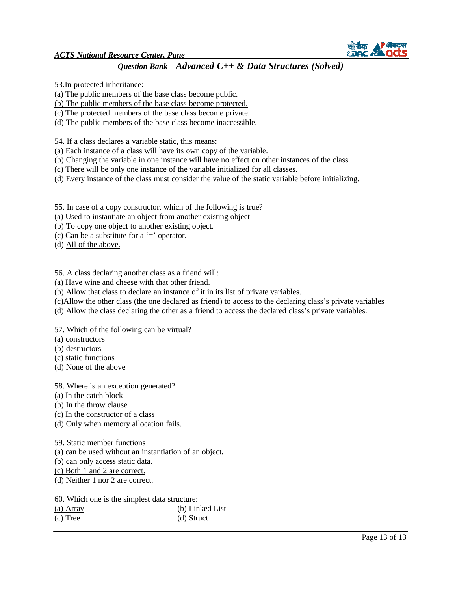

53.In protected inheritance:

(a) The public members of the base class become public.

(b) The public members of the base class become protected.

(c) The protected members of the base class become private.

(d) The public members of the base class become inaccessible.

54. If a class declares a variable static, this means:

(a) Each instance of a class will have its own copy of the variable.

(b) Changing the variable in one instance will have no effect on other instances of the class.

(c) There will be only one instance of the variable initialized for all classes.

(d) Every instance of the class must consider the value of the static variable before initializing.

55. In case of a copy constructor, which of the following is true?

(a) Used to instantiate an object from another existing object

(b) To copy one object to another existing object.

(c) Can be a substitute for a  $=$  operator.

(d) All of the above.

56. A class declaring another class as a friend will:

(a) Have wine and cheese with that other friend.

(b) Allow that class to declare an instance of it in its list of private variables.

(c)Allow the other class (the one declared as friend) to access to the declaring class's private variables

(d) Allow the class declaring the other as a friend to access the declared class's private variables.

57. Which of the following can be virtual?

(a) constructors

(b) destructors

(c) static functions

(d) None of the above

58. Where is an exception generated?

(a) In the catch block

(b) In the throw clause

(c) In the constructor of a class

(d) Only when memory allocation fails.

59. Static member functions

(a) can be used without an instantiation of an object.

(b) can only access static data.

(c) Both 1 and 2 are correct.

(d) Neither 1 nor 2 are correct.

60. Which one is the simplest data structure:

| (a) $Array$ | (b) Linked List |
|-------------|-----------------|
| $(c)$ Tree  | (d) Struct      |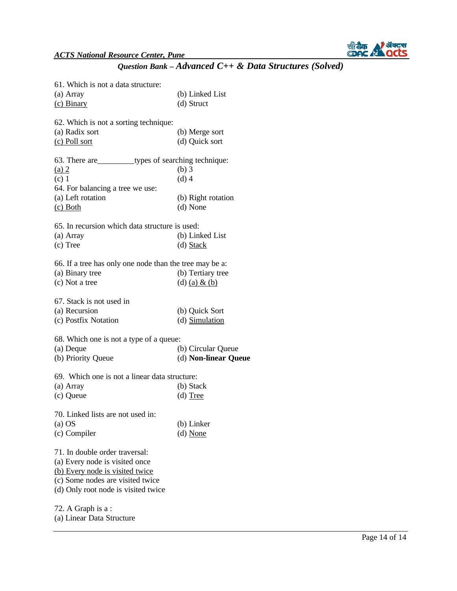

| 61. Which is not a data structure:                       |                      |
|----------------------------------------------------------|----------------------|
| (a) Array                                                | (b) Linked List      |
| $(c)$ Binary                                             | (d) Struct           |
| 62. Which is not a sorting technique:                    |                      |
| (a) Radix sort                                           | (b) Merge sort       |
| (c) Poll sort                                            | (d) Quick sort       |
| 63. There are _____________types of searching technique: |                      |
| $(a)$ 2                                                  | $(b)$ 3              |
| $(c)$ 1                                                  | $(d)$ 4              |
| 64. For balancing a tree we use:                         |                      |
| (a) Left rotation                                        | (b) Right rotation   |
| $(c)$ Both                                               | (d) None             |
| 65. In recursion which data structure is used:           |                      |
| (a) Array                                                | (b) Linked List      |
| $(c)$ Tree                                               | $(d)$ Stack          |
|                                                          |                      |
| 66. If a tree has only one node than the tree may be a:  |                      |
| (a) Binary tree                                          | (b) Tertiary tree    |
| (c) Not a tree                                           | (d) (a) & (b)        |
| 67. Stack is not used in                                 |                      |
| (a) Recursion                                            | (b) Quick Sort       |
| (c) Postfix Notation                                     | (d) Simulation       |
| 68. Which one is not a type of a queue:                  |                      |
| (a) Deque                                                | (b) Circular Queue   |
| (b) Priority Queue                                       | (d) Non-linear Queue |
|                                                          |                      |
| 69. Which one is not a linear data structure:            |                      |
| (a) Array                                                | (b) Stack            |
| (c) Queue                                                | $(d)$ Tree           |
| 70. Linked lists are not used in:                        |                      |
| $(a)$ OS                                                 | (b) Linker           |
| (c) Compiler                                             | $(d)$ None           |
| 71. In double order traversal:                           |                      |
| (a) Every node is visited once                           |                      |
| (b) Every node is visited twice                          |                      |
| (c) Some nodes are visited twice                         |                      |
| (d) Only root node is visited twice                      |                      |
|                                                          |                      |
| 72. A Graph is a :                                       |                      |
| (a) Linear Data Structure                                |                      |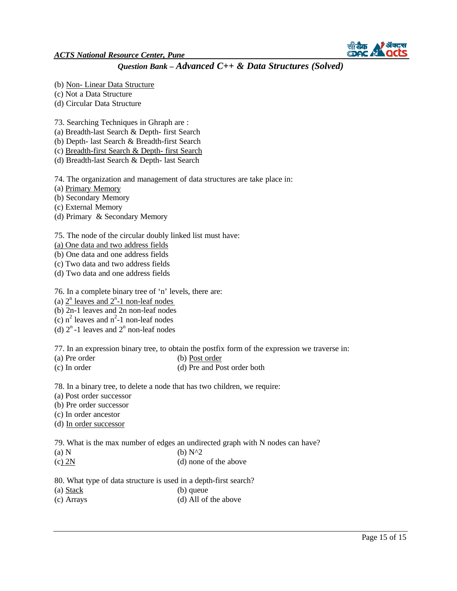

- (b) Non- Linear Data Structure
- (c) Not a Data Structure
- (d) Circular Data Structure
- 73. Searching Techniques in Ghraph are :
- (a) Breadth-last Search & Depth- first Search
- (b) Depth- last Search & Breadth-first Search
- (c) Breadth-first Search & Depth- first Search
- (d) Breadth-last Search & Depth- last Search

74. The organization and management of data structures are take place in:

- (a) Primary Memory
- (b) Secondary Memory
- (c) External Memory
- (d) Primary & Secondary Memory

#### 75. The node of the circular doubly linked list must have:

- (a) One data and two address fields
- (b) One data and one address fields
- (c) Two data and two address fields
- (d) Two data and one address fields

76. In a complete binary tree of 'n' levels, there are:

- (a)  $2^n$  leaves and  $2^n$ -1 non-leaf nodes
- (b) 2n-1 leaves and 2n non-leaf nodes
- (c)  $n^2$  leaves and  $n^2$ -1 non-leaf nodes
- (d)  $2^n$ -1 leaves and  $2^n$  non-leaf nodes

77. In an expression binary tree, to obtain the postfix form of the expression we traverse in:

- (a) Pre order (b) Post order
- (c) In order (d) Pre and Post order both

78. In a binary tree, to delete a node that has two children, we require:

- (a) Post order successor
- (b) Pre order successor
- (c) In order ancestor
- (d) In order successor
- 79. What is the max number of edges an undirected graph with N nodes can have?
- (a) N (b)  $N^2$
- (c) 2N (d) none of the above
- 80. What type of data structure is used in a depth-first search?
- (a) Stack (b) queue
- (c) Arrays (d) All of the above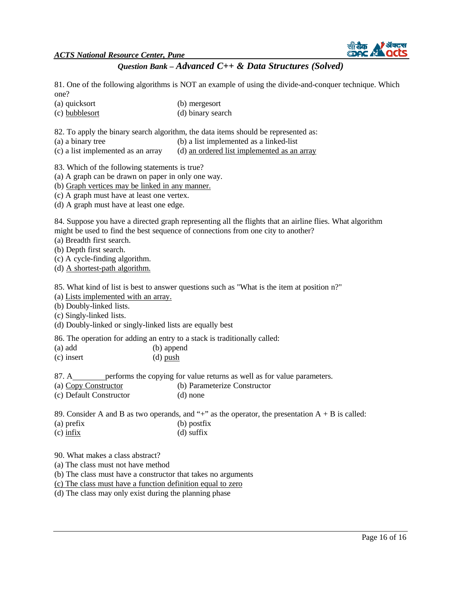*ACTS National Resource Center, Pune*



## *Question Bank – Advanced C++ & Data Structures (Solved)*

81. One of the following algorithms is NOT an example of using the divide-and-conquer technique. Which one?

- (a) quicksort (b) mergesort
- (c) bubblesort (d) binary search

82. To apply the binary search algorithm, the data items should be represented as:

- (a) a binary tree (b) a list implemented as a linked-list
- (c) a list implemented as an array (d) an ordered list implemented as an array

83. Which of the following statements is true?

(a) A graph can be drawn on paper in only one way.

(b) Graph vertices may be linked in any manner.

(c) A graph must have at least one vertex.

(d) A graph must have at least one edge.

84. Suppose you have a directed graph representing all the flights that an airline flies. What algorithm might be used to find the best sequence of connections from one city to another?

(a) Breadth first search.

(b) Depth first search.

(c) A cycle-finding algorithm.

(d) A shortest-path algorithm.

85. What kind of list is best to answer questions such as "What is the item at position n?"

(a) Lists implemented with an array.

(b) Doubly-linked lists.

(c) Singly-linked lists.

(d) Doubly-linked or singly-linked lists are equally best

86. The operation for adding an entry to a stack is traditionally called:

| (a) add      | (b) append |
|--------------|------------|
| $(c)$ insert | $(d)$ push |

87. A\_\_\_\_\_\_\_\_ performs the copying for value returns as well as for value parameters.

(a) Copy Constructor (b) Parameterize Constructor

(c) Default Constructor (d) none

89. Consider A and B as two operands, and "+" as the operator, the presentation  $A + B$  is called:

- (a) prefix (b) postfix
- (c) infix (d) suffix

90. What makes a class abstract?

(a) The class must not have method

(b) The class must have a constructor that takes no arguments

(c) The class must have a function definition equal to zero

(d) The class may only exist during the planning phase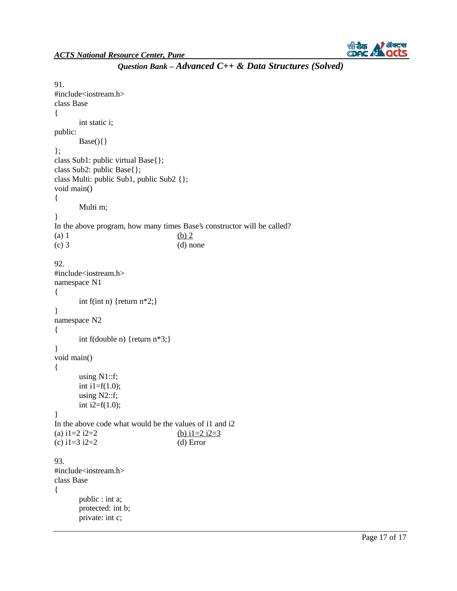

```
91. 
#include<iostream.h> 
class Base 
{ 
public: 
}; 
       int static i; 
       Base()class Sub1: public virtual Base{}; 
class Sub2: public Base{}; 
class Multi: public Sub1, public Sub2 {}; 
void main() 
{ 
       Multi m; 
} 
In the above program, how many times Base's constructor will be called? 
(a) 1 (b) 2
(c) 3 (d) none
92. 
#include<iostream.h> 
namespace N1 
{ 
       int f(int n) {return n*2;}
} 
namespace N2 
{ 
       int f(double n) {return n*3;}
} 
void main() 
{ 
       using N1::f; 
       int i1=f(1.0);using N2::f; 
       int i2=f(1.0);
} 
In the above code what would be the values of i1 and i2 
(a) i1=2 i2=2 <br>(c) i1=3 i2=2 <br>(d) Error
(c) i1=3 i2=2
93. 
#include<iostream.h> 
class Base 
{ 
       public : int a; 
       protected: int b; 
       private: int c;
```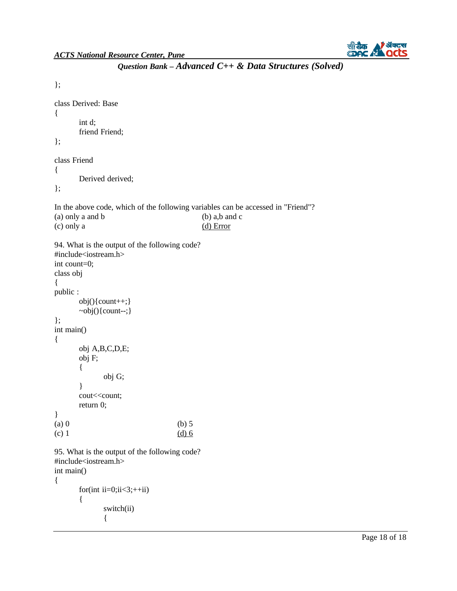

```
}; 
class Derived: Base 
{ 
      int d; 
      friend Friend; 
\mathcal{E}:
class Friend 
{ 
      Derived derived; 
}; 
In the above code, which of the following variables can be accessed in "Friend"? 
(a) only a and b (b) a,b and c
(c) only a (d) Error
94. What is the output of the following code? 
#include<iostream.h> 
int count=0; 
class obj 
{ 
public : 
      obj(){count++;} 
      ~obj(){count--;} 
}; 
int main() 
{ 
      obj A,B,C,D,E; 
      obj F; 
       { 
             obj G; 
       } 
      cout<<<oount;
      return 0; 
} 
(a) 0 (b) 5
(c) 1 \frac{(d) 6}{6}95. What is the output of the following code? 
#include<iostream.h> 
int main() 
{ 
       for(int ii=0;ii<3;+iii)
       { 
             switch(ii) 
             {
```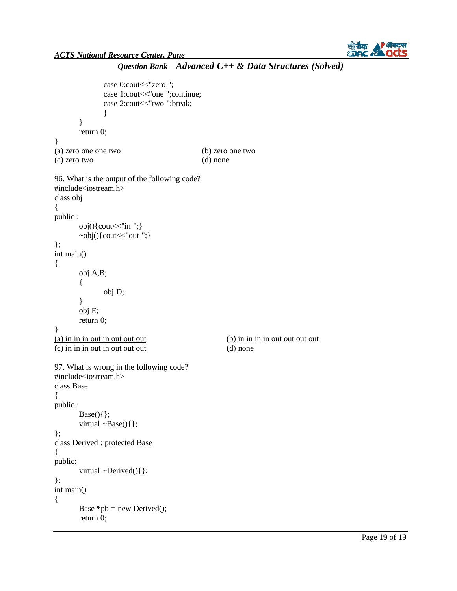

```
Question Bank – Advanced C++ & Data Structures (Solved)
```

```
case 0:cout << "zero";
              case 1:cout << "one ";continue;
              case 2:cout << "two "; break;
              } 
       } 
       return 0; 
} 
(a) zero one one two (b) zero one two 
(c) zero two (d) none 
96. What is the output of the following code? 
#include<iostream.h> 
class obj 
{ 
public : 
       obj(){cout < "in "; }
       \simobj(){cout << "out"; }
}; 
int main() 
{ 
       obj A,B; 
       { 
       } 
       obj E; 
              obj D; 
       return 0; 
} 
(a) in in in out in out out out out out (b) in in in out out out out out
(c) in in in out in out out out (d) none 
97. What is wrong in the following code? 
#include<iostream.h> 
class Base 
{ 
public : 
       Base()};
       virtual \simBase(){};
}; 
class Derived : protected Base 
{ 
public: 
       virtual ~Derived(){};
}; 
int main() 
{ 
       Base *pb = new Derived;
       return 0;
```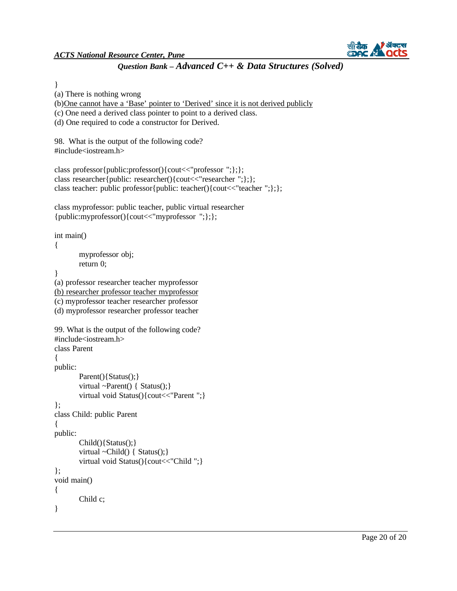(a) There is nothing wrong



# *Question Bank – Advanced C++ & Data Structures (Solved)*

}

{

}

{

{

{

}

```
(b)One cannot have a 'Base' pointer to 'Derived' since it is not derived publicly
(c) One need a derived class pointer to point to a derived class. 
(d) One required to code a constructor for Derived. 
98. What is the output of the following code? 
#include<iostream.h> 
class professor{public:professor(){cout<<"professor ";};}; 
class researcher{public: researcher(){cout<<"researcher";};};
class teacher: public professor{public: teacher(){cout<<"teacher";};};
class myprofessor: public teacher, public virtual researcher 
{public:myprofessor(){cout<<"myprofessor ";};}; 
int main() 
        myprofessor obj; 
        return 0; 
(a) professor researcher teacher myprofessor 
(b) researcher professor teacher myprofessor
(c) myprofessor teacher researcher professor 
(d) myprofessor researcher professor teacher 
99. What is the output of the following code? 
#include<iostream.h> 
class Parent 
public: 
        Parent(){Status();}
        virtual \simParent() { Status(); }
        virtual void Status(){cout<<"Parent ";}
}; 
class Child: public Parent 
public: 
        Child(){Status();} 
        virtual ~Child() { Status();}
        virtual void Status(){cout<<"Child ";} 
}; 
void main() 
        Child c;
```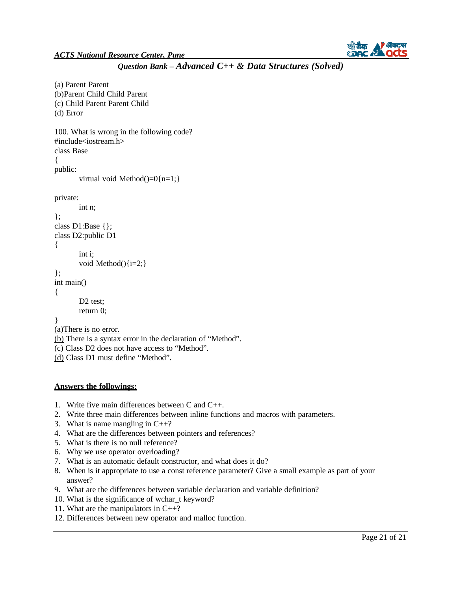

```
Question Bank – Advanced C++ & Data Structures (Solved)
```

```
(a) Parent Parent 
(b)Parent Child Child Parent
(c) Child Parent Parent Child 
(d) Error 
100. What is wrong in the following code? 
#include<iostream.h> 
class Base 
{ 
public: 
       virtual void Method() = 0{n=1;}
private: 
       int n; 
}; 
class D1:Base {}; 
class D2:public D1 
{ 
        int i; 
        void Method()\{i=2;\}\};
int main() 
{ 
       D<sub>2</sub> test:
       return 0; 
} 
(a)There is no error.
(b) There is a syntax error in the declaration of "Method". 
(c) Class D2 does not have access to "Method". 
(d) Class D1 must define "Method".
```
#### **Answers the followings:**

- 1. Write five main differences between C and C++.
- 2. Write three main differences between inline functions and macros with parameters.
- 3. What is name mangling in  $C_{++}$ ?
- 4. What are the differences between pointers and references?
- 5. What is there is no null reference?
- 6. Why we use operator overloading?
- 7. What is an automatic default constructor, and what does it do?
- 8. When is it appropriate to use a const reference parameter? Give a small example as part of your answer?
- 9. What are the differences between variable declaration and variable definition?
- 10. What is the significance of wchar\_t keyword?
- 11. What are the manipulators in C++?
- 12. Differences between new operator and malloc function.